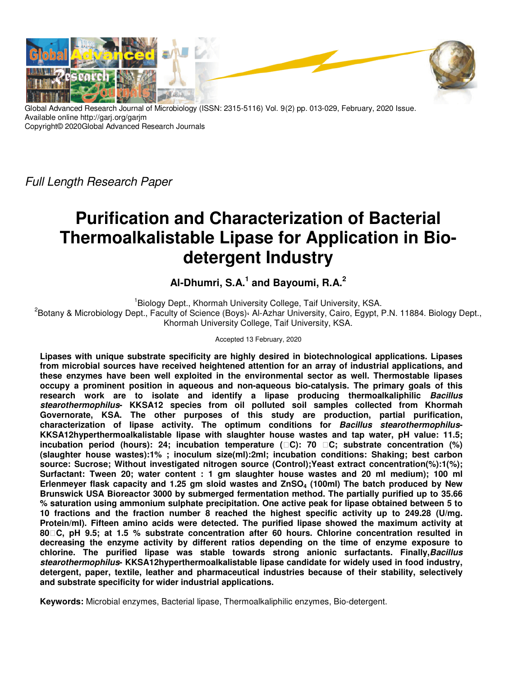

Global Advanced Research Journal of Microbiology (ISSN: 2315-5116) Vol. 9(2) pp. 013-029, February, 2020 Issue. Available online http://garj.org/garjm Copyright© 2020Global Advanced Research Journals

*Full Length Research Paper*

# **Purification and Characterization of Bacterial Thermoalkalistable Lipase for Application in Biodetergent Industry**

**Al-Dhumri, S.A.<sup>1</sup> and Bayoumi, R.A.<sup>2</sup>**

<sup>1</sup> Biology Dept., Khormah University College, Taif University, KSA. 2 Botany & Microbiology Dept., Faculty of Science (Boys)**،** Al-Azhar University, Cairo, Egypt, P.N. 11884. Biology Dept., Khormah University College, Taif University, KSA.

Accepted 13 February, 2020

**Lipases with unique substrate specificity are highly desired in biotechnological applications. Lipases from microbial sources have received heightened attention for an array of industrial applications, and these enzymes have been well exploited in the environmental sector as well. Thermostable lipases occupy a prominent position in aqueous and non-aqueous bio-catalysis. The primary goals of this research work are to isolate and identify a lipase producing thermoalkaliphilic Bacillus stearothermophilus- KKSA12 species from oil polluted soil samples collected from Khormah Governorate, KSA. The other purposes of this study are production, partial purification, characterization of lipase activity. The optimum conditions for Bacillus stearothermophilus-KKSA12hyperthermoalkalistable lipase with slaughter house wastes and tap water, pH value: 11.5; incubation period (hours): 24; incubation temperature (C): 70 C; substrate concentration (%) (slaughter house wastes):1% ; inoculum size(ml):2ml; incubation conditions: Shaking; best carbon source: Sucrose; Without investigated nitrogen source (Control);Yeast extract concentration(%):1(%); Surfactant: Tween 20; water content : 1 gm slaughter house wastes and 20 ml medium); 100 ml Erlenmeyer flask capacity and 1.25 gm sloid wastes and ZnSO4 (100ml) The batch produced by New Brunswick USA Bioreactor 3000 by submerged fermentation method. The partially purified up to 35.66 % saturation using ammonium sulphate precipitation. One active peak for lipase obtained between 5 to 10 fractions and the fraction number 8 reached the highest specific activity up to 249.28 (U/mg. Protein/ml). Fifteen amino acids were detected. The purified lipase showed the maximum activity at 80C, pH 9.5; at 1.5 % substrate concentration after 60 hours. Chlorine concentration resulted in decreasing the enzyme activity by different ratios depending on the time of enzyme exposure to chlorine. The purified lipase was stable towards strong anionic surfactants. Finally,Bacillus stearothermophilus- KKSA12hyperthermoalkalistable lipase candidate for widely used in food industry, detergent, paper, textile, leather and pharmaceutical industries because of their stability, selectively and substrate specificity for wider industrial applications.** 

**Keywords:** Microbial enzymes, Bacterial lipase, Thermoalkaliphilic enzymes, Bio-detergent.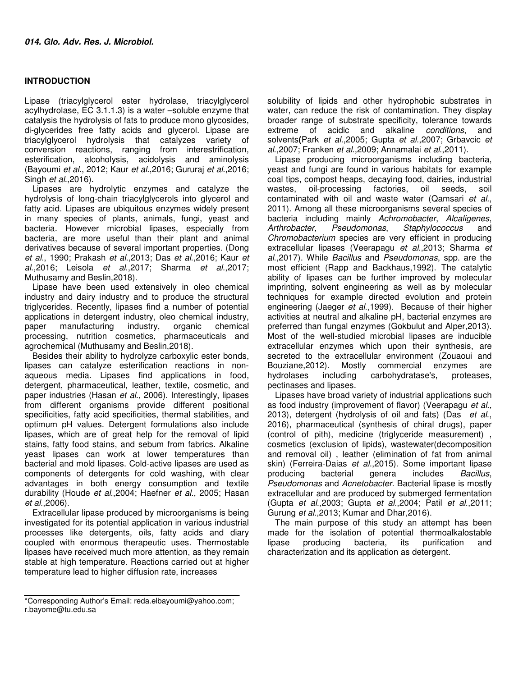## **INTRODUCTION**

Lipase (triacylglycerol ester hydrolase, triacylglycerol acylhydrolase, EC 3.1.1.3) is a water –soluble enzyme that catalysis the hydrolysis of fats to produce mono glycosides, di-glycerides free fatty acids and glycerol. Lipase are triacylglycerol hydrolysis that catalyzes variety of conversion reactions, ranging from interestrification, esterification, alcoholysis, acidolysis and aminolysis (Bayoumi *et al.*, 2012; Kaur *et al*.,2016; Gururaj *et al*.,2016; Singh *et al*.,2016).

Lipases are hydrolytic enzymes and catalyze the hydrolysis of long-chain triacylglycerols into glycerol and fatty acid. Lipases are ubiquitous enzymes widely present in many species of plants, animals, fungi, yeast and bacteria. However microbial lipases, especially from bacteria, are more useful than their plant and animal derivatives because of several important properties. (Dong *et al*., 1990; Prakash *et al*.,2013; Das *et al*.,2016; Kaur *et al*.,2016; Leisola *et al*.,2017; Sharma *et al*.,2017; Muthusamy and Beslin,2018).

Lipase have been used extensively in oleo chemical industry and dairy industry and to produce the structural triglycerides. Recently, lipases find a number of potential applications in detergent industry, oleo chemical industry, paper manufacturing industry, organic chemical processing, nutrition cosmetics, pharmaceuticals and agrochemical (Muthusamy and Beslin,2018).

Besides their ability to hydrolyze carboxylic ester bonds, lipases can catalyze esterification reactions in nonaqueous media. Lipases find applications in food, detergent, pharmaceutical, leather, textile, cosmetic, and paper industries (Hasan *et al*., 2006). Interestingly, lipases from different organisms provide different positional specificities, fatty acid specificities, thermal stabilities, and optimum pH values. Detergent formulations also include lipases, which are of great help for the removal of lipid stains, fatty food stains, and sebum from fabrics. Alkaline yeast lipases can work at lower temperatures than bacterial and mold lipases. Cold-active lipases are used as components of detergents for cold washing, with clear advantages in both energy consumption and textile durability (Houde *et al*.,2004; Haefner *et al*., 2005; Hasan *et al*.,2006).

Extracellular lipase produced by microorganisms is being investigated for its potential application in various industrial processes like detergents, oils, fatty acids and diary coupled with enormous therapeutic uses. Thermostable lipases have received much more attention, as they remain stable at high temperature. Reactions carried out at higher temperature lead to higher diffusion rate, increases

\*Corresponding Author's Email: reda.elbayoumi@yahoo.com; r.bayome@tu.edu.sa

solubility of lipids and other hydrophobic substrates in water, can reduce the risk of contamination. They display broader range of substrate specificity, tolerance towards extreme of acidic and alkaline *conditions*, and solvents**(**Park *et al*.,2005; Gupta *et al*.,2007; Grbavcic *et al*.,2007; Franken *et al*.,2009; Annamalai *et al*.,2011).

Lipase producing microorganisms including bacteria, yeast and fungi are found in various habitats for example coal tips, compost heaps, decaying food, dairies, industrial wastes, oil-processing factories, oil seeds, soil contaminated with oil and waste water (Qamsari *et al.*, 2011). Among all these microorganisms several species of bacteria including mainly *Achromobacter*, *Alcaligenes*, *Arthrobacter*, *Pseudomonas*, *Staphylococcus* and *Chromobacterium* species are very efficient in producing extracellular lipases (Veerapagu *et al*.,2013; Sharma *et al*.,2017). While *Bacillus* and *Pseudomonas*, spp. are the most efficient (Rapp and Backhaus,1992). The catalytic ability of lipases can be further improved by molecular imprinting, solvent engineering as well as by molecular techniques for example directed evolution and protein engineering (Jaeger *et al*.,1999). Because of their higher activities at neutral and alkaline pH, bacterial enzymes are preferred than fungal enzymes (Gokbulut and Alper,2013). Most of the well-studied microbial lipases are inducible extracellular enzymes which upon their synthesis, are secreted to the extracellular environment (Zouaoui and Bouziane,2012). Mostly commercial enzymes are hydrolases including carbohydratase's, proteases, pectinases and lipases.

Lipases have broad variety of industrial applications such as food industry (improvement of flavor) (Veerapagu *et al*., 2013), detergent (hydrolysis of oil and fats) (Das *et al*., 2016), pharmaceutical (synthesis of chiral drugs), paper (control of pith), medicine (triglyceride measurement) , cosmetics (exclusion of lipids), wastewater(decomposition and removal oil) , leather (elimination of fat from animal skin) (Ferreira-Daias *et al*.,2015). Some important lipase producing bacterial genera includes *Bacillus*, *Pseudomonas* and *Acnetobacter*. Bacterial lipase is mostly extracellular and are produced by submerged fermentation (Gupta *et al*.,2003; Gupta *et al*.,2004; Patil *et al*.,2011; Gurung *et al*.,2013; Kumar and Dhar,2016).

The main purpose of this study an attempt has been made for the isolation of potential thermoalkalostable lipase producing bacteria, its purification and characterization and its application as detergent.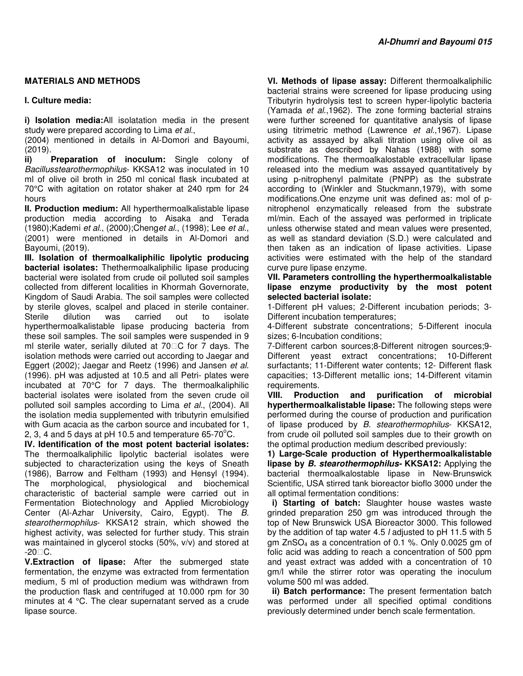# **MATERIALS AND METHODS**

## **I. Culture media:**

**i) Isolation media:**All isolatation media in the present study were prepared according to Lima *et al.*,

(2004) mentioned in details in Al-Domori and Bayoumi, (2019).

**ii) Preparation of inoculum:** Single colony of *Bacillusstearothermophilus*- KKSA12 was inoculated in 10 ml of olive oil broth in 250 ml conical flask incubated at 70°C with agitation on rotator shaker at 240 rpm for 24 hours

**II. Production medium:** All hyperthermoalkalistable lipase production media according to Aisaka and Terada (1980);Kademi *et al.*, (2000);Cheng*et al*., (1998); Lee *et al*., (2001) were mentioned in details in Al-Domori and Bayoumi, (2019).

**III. Isolation of thermoalkaliphilic lipolytic producing bacterial isolates:** Thethermoalkaliphilic lipase producing bacterial were isolated from crude oil polluted soil samples collected from different localities in Khormah Governorate, Kingdom of Saudi Arabia. The soil samples were collected by sterile gloves, scalpel and placed in sterile container. Sterile dilution was carried out to isolate hyperthermoalkalistable lipase producing bacteria from these soil samples. The soil samples were suspended in 9 ml sterile water, serially diluted at 70 C for 7 days. The isolation methods were carried out according to Jaegar and Eggert (2002); Jaegar and Reetz (1996) and Jansen *et al*. (1996). pH was adjusted at 10.5 and all Petri- plates were incubated at 70°C for 7 days. The thermoalkaliphilic bacterial isolates were isolated from the seven crude oil polluted soil samples according to Lima *et al*., (2004). All the isolation media supplemented with tributyrin emulsified with Gum acacia as the carbon source and incubated for 1, 2, 3, 4 and 5 days at pH 10.5 and temperature  $65-70^{\circ}$ C.

**IV. Identification of the most potent bacterial isolates:**  The thermoalkaliphilic lipolytic bacterial isolates were subjected to characterization using the keys of Sneath (1986), Barrow and Feltham (1993) and Hensyl (1994). The morphological, physiological and biochemical characteristic of bacterial sample were carried out in Fermentation Biotechnology and Applied Microbiology Center (Al-Azhar University, Cairo, Egypt). The *B. stearothermophilus*- KKSA12 strain, which showed the highest activity, was selected for further study. This strain was maintained in glycerol stocks (50%, v/v) and stored at  $-20$  C.

**V.Extraction of lipase:** After the submerged state fermentation, the enzyme was extracted from fermentation medium, 5 ml of production medium was withdrawn from the production flask and centrifuged at 10.000 rpm for 30 minutes at 4 °C. The clear supernatant served as a crude lipase source.

**VI. Methods of lipase assay:** Different thermoalkaliphilic bacterial strains were screened for lipase producing using Tributyrin hydrolysis test to screen hyper-lipolytic bacteria (Yamada *et al*.,1962). The zone forming bacterial strains were further screened for quantitative analysis of lipase using titrimetric method (Lawrence *et al*.,1967). Lipase activity as assayed by alkali titration using olive oil as substrate as described by Nahas (1988) with some modifications. The thermoalkalostable extracellular lipase released into the medium was assayed quantitatively by using p-nitrophenyl palmitate (PNPP) as the substrate according to (Winkler and Stuckmann,1979), with some modifications.One enzyme unit was defined as: mol of pnitrophenol enzymatically released from the substrate ml/min. Each of the assayed was performed in triplicate unless otherwise stated and mean values were presented, as well as standard deviation (S.D.) were calculated and then taken as an indication of lipase activities. Lipase activities were estimated with the help of the standard curve pure lipase enzyme.

#### **VII. Parameters controlling the hyperthermoalkalistable lipase enzyme productivity by the most potent selected bacterial isolate:**

1-Different pH values; 2-Different incubation periods; 3- Different incubation temperatures;

4-Different substrate concentrations; 5-Different inocula sizes; 6-Incubation conditions;

7-Different carbon sources;8-Different nitrogen sources;9- Different yeast extract concentrations; 10-Different surfactants; 11-Different water contents; 12- Different flask capacities; 13-Different metallic ions; 14-Different vitamin requirements.

**VIII. Production and purification of microbial hyperthermoalkalistable lipase:** The following steps were performed during the course of production and purification of lipase produced by *B. stearothermophilus*- KKSA12, from crude oil polluted soil samples due to their growth on the optimal production medium described previously:

**1) Large-Scale production of Hyperthermoalkalistable lipase by B. stearothermophilus- KKSA12:** Applying the bacterial thermoalkalostable lipase in New-Brunswick Scientific, USA stirred tank bioreactor bioflo 3000 under the all optimal fermentation conditions:

 **i) Starting of batch:** Slaughter house wastes waste grinded preparation 250 gm was introduced through the top of New Brunswick USA Bioreactor 3000. This followed by the addition of tap water 4.5 *l* adjusted to pH 11.5 with 5 gm ZnSO4 as a concentration of 0.1 %. Only 0.0025 gm of folic acid was adding to reach a concentration of 500 ppm and yeast extract was added with a concentration of 10 gm/l while the stirrer rotor was operating the inoculum volume 500 ml was added.

 **ii) Batch performance:** The present fermentation batch was performed under all specified optimal conditions previously determined under bench scale fermentation.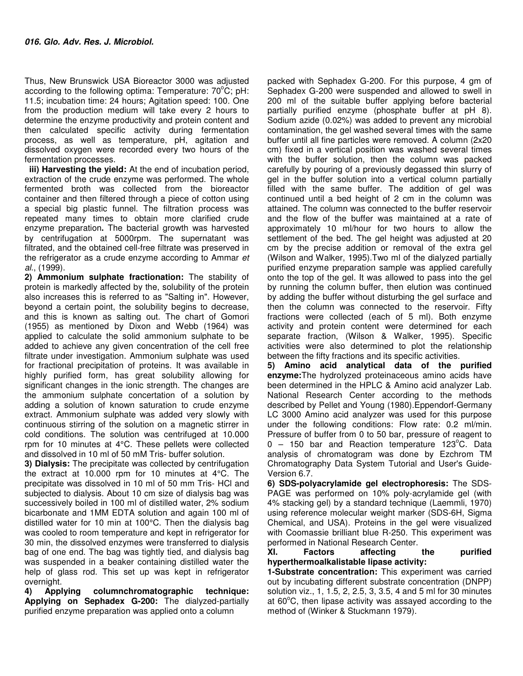Thus, New Brunswick USA Bioreactor 3000 was adjusted according to the following optima: Temperature:  $70^{\circ}$ C; pH: 11.5; incubation time: 24 hours; Agitation speed: 100. One from the production medium will take every 2 hours to determine the enzyme productivity and protein content and then calculated specific activity during fermentation process, as well as temperature, pH, agitation and dissolved oxygen were recorded every two hours of the fermentation processes.

 **iii) Harvesting the yield:** At the end of incubation period, extraction of the crude enzyme was performed. The whole fermented broth was collected from the bioreactor container and then filtered through a piece of cotton using a special big plastic funnel. The filtration process was repeated many times to obtain more clarified crude enzyme preparation**.** The bacterial growth was harvested by centrifugation at 5000rpm. The supernatant was filtrated, and the obtained cell-free filtrate was preserved in the refrigerator as a crude enzyme according to Ammar *et al*., (1999).

**2) Ammonium sulphate fractionation:** The stability of protein is markedly affected by the, solubility of the protein also increases this is referred to as "Salting in". However, beyond a certain point, the solubility begins to decrease, and this is known as salting out. The chart of Gomori (1955) as mentioned by Dixon and Webb (1964) was applied to calculate the solid ammonium sulphate to be added to achieve any given concentration of the cell free filtrate under investigation. Ammonium sulphate was used for fractional precipitation of proteins. It was available in highly purified form, has great solubility allowing for significant changes in the ionic strength. The changes are the ammonium sulphate concertation of a solution by adding a solution of known saturation to crude enzyme extract. Ammonium sulphate was added very slowly with continuous stirring of the solution on a magnetic stirrer in cold conditions. The solution was centrifuged at 10.000 rpm for 10 minutes at 4°C. These pellets were collected and dissolved in 10 ml of 50 mM Tris- buffer solution.

**3) Dialysis:** The precipitate was collected by centrifugation the extract at 10.000 rpm for 10 minutes at 4°C. The precipitate was dissolved in 10 ml of 50 mm Tris- HCl and subjected to dialysis. About 10 cm size of dialysis bag was successively boiled in 100 ml of distilled water, 2% sodium bicarbonate and 1MM EDTA solution and again 100 ml of distilled water for 10 min at 100°C. Then the dialysis bag was cooled to room temperature and kept in refrigerator for 30 min, the dissolved enzymes were transferred to dialysis bag of one end. The bag was tightly tied, and dialysis bag was suspended in a beaker containing distilled water the help of glass rod. This set up was kept in refrigerator

overnight.<br>4) **Applying 4) Applying columnchromatographic technique: Applying on Sephadex G-200:** The dialyzed-partially purified enzyme preparation was applied onto a column

packed with Sephadex G-200. For this purpose, 4 gm of Sephadex G-200 were suspended and allowed to swell in 200 ml of the suitable buffer applying before bacterial partially purified enzyme (phosphate buffer at pH 8). Sodium azide (0.02%) was added to prevent any microbial contamination, the gel washed several times with the same buffer until all fine particles were removed. A column (2x20 cm) fixed in a vertical position was washed several times with the buffer solution, then the column was packed carefully by pouring of a previously degassed thin slurry of gel in the buffer solution into a vertical column partially filled with the same buffer. The addition of gel was continued until a bed height of 2 cm in the column was attained. The column was connected to the buffer reservoir and the flow of the buffer was maintained at a rate of approximately 10 ml/hour for two hours to allow the settlement of the bed. The gel height was adjusted at 20 cm by the precise addition or removal of the extra gel (Wilson and Walker, 1995).Two ml of the dialyzed partially purified enzyme preparation sample was applied carefully onto the top of the gel. It was allowed to pass into the gel by running the column buffer, then elution was continued by adding the buffer without disturbing the gel surface and then the column was connected to the reservoir. Fifty fractions were collected (each of 5 ml). Both enzyme activity and protein content were determined for each separate fraction, (Wilson & Walker, 1995). Specific activities were also determined to plot the relationship between the fifty fractions and its specific activities.

**5) Amino acid analytical data of the purified enzyme:**The hydrolyzed proteinaceous amino acids have been determined in the HPLC & Amino acid analyzer Lab. National Research Center according to the methods described by Pellet and Young (1980).Eppendorf-Germany LC 3000 Amino acid analyzer was used for this purpose under the following conditions: Flow rate: 0.2 ml/min. Pressure of buffer from 0 to 50 bar, pressure of reagent to  $0 - 150$  bar and Reaction temperature 123 $^{\circ}$ C. Data analysis of chromatogram was done by Ezchrom TM Chromatography Data System Tutorial and User's Guide-Version 6.7.

**6) SDS-polyacrylamide gel electrophoresis:** The SDS-PAGE was performed on 10% poly-acrylamide gel (with 4% stacking gel) by a standard technique (Laemmli, 1970) using reference molecular weight marker (SDS-6H, Sigma Chemical, and USA). Proteins in the gel were visualized with Coomassie brilliant blue R-250. This experiment was performed in National Research Center.

**XI. Factors affecting the purified hyperthermoalkalistable lipase activity:** 

**1-Substrate concentration:** This experiment was carried out by incubating different substrate concentration (DNPP) solution viz., 1, 1.5, 2, 2.5, 3, 3.5, 4 and 5 ml for 30 minutes at  $60^{\circ}$ C, then lipase activity was assayed according to the method of (Winker & Stuckmann 1979).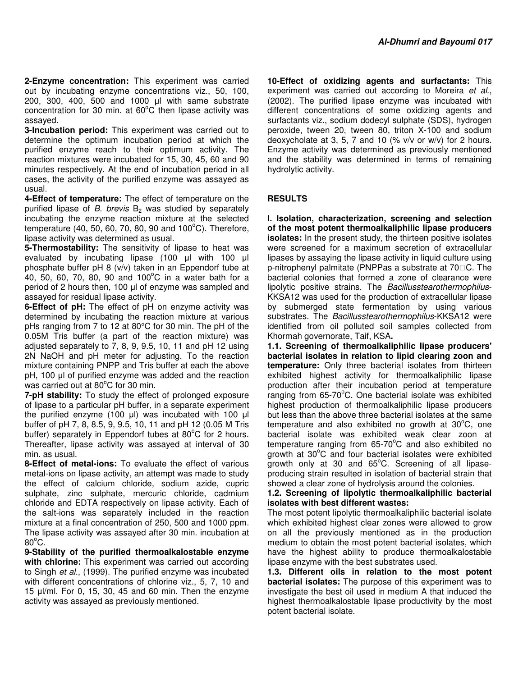**2-Enzyme concentration:** This experiment was carried out by incubating enzyme concentrations viz., 50, 100, 200, 300, 400, 500 and 1000 µl with same substrate concentration for 30 min. at  $60^{\circ}$ C then lipase activity was assayed.

**3-Incubation period:** This experiment was carried out to determine the optimum incubation period at which the purified enzyme reach to their optimum activity. The reaction mixtures were incubated for 15, 30, 45, 60 and 90 minutes respectively. At the end of incubation period in all cases, the activity of the purified enzyme was assayed as usual.

**4-Effect of temperature:** The effect of temperature on the purified lipase of *B. brevis* B<sub>2</sub> was studied by separately incubating the enzyme reaction mixture at the selected temperature (40, 50, 60, 70, 80, 90 and  $100^{\circ}$ C). Therefore, lipase activity was determined as usual.

**5-Thermostability:** The sensitivity of lipase to heat was evaluated by incubating lipase (100 µl with 100 µl phosphate buffer pH 8 (v/v) taken in an Eppendorf tube at 40, 50, 60, 70, 80, 90 and 100 $^{\circ}$ C in a water bath for a period of 2 hours then, 100 µl of enzyme was sampled and assayed for residual lipase activity.

**6-Effect of pH:** The effect of pH on enzyme activity was determined by incubating the reaction mixture at various pHs ranging from 7 to 12 at 80°C for 30 min. The pH of the 0.05M Tris buffer (a part of the reaction mixture) was adjusted separately to 7, 8, 9, 9.5, 10, 11 and pH 12 using 2N NaOH and pH meter for adjusting. To the reaction mixture containing PNPP and Tris buffer at each the above pH, 100 µl of purified enzyme was added and the reaction was carried out at  $80^{\circ}$ C for 30 min.

**7-pH stability:** To study the effect of prolonged exposure of lipase to a particular pH buffer, in a separate experiment the purified enzyme (100 µl) was incubated with 100 µl buffer of pH 7, 8, 8.5, 9, 9.5, 10, 11 and pH 12 (0.05 M Tris buffer) separately in Eppendorf tubes at  $80^{\circ}$ C for 2 hours. Thereafter, lipase activity was assayed at interval of 30 min. as usual.

**8-Effect of metal-ions:** To evaluate the effect of various metal-ions on lipase activity, an attempt was made to study the effect of calcium chloride, sodium azide, cupric sulphate, zinc sulphate, mercuric chloride, cadmium chloride and EDTA respectively on lipase activity. Each of the salt-ions was separately included in the reaction mixture at a final concentration of 250, 500 and 1000 ppm. The lipase activity was assayed after 30 min. incubation at  $80^{\circ}$ C.

**9-Stability of the purified thermoalkalostable enzyme with chlorine:** This experiment was carried out according to Singh *et al*., (1999). The purified enzyme was incubated with different concentrations of chlorine viz., 5, 7, 10 and 15 µl/ml. For 0, 15, 30, 45 and 60 min. Then the enzyme activity was assayed as previously mentioned.

**10-Effect of oxidizing agents and surfactants:** This experiment was carried out according to Moreira *et al*., (2002). The purified lipase enzyme was incubated with different concentrations of some oxidizing agents and surfactants viz., sodium dodecyl sulphate (SDS), hydrogen peroxide, tween 20, tween 80, triton X-100 and sodium deoxycholate at 3, 5, 7 and 10 (% v/v or w/v) for 2 hours. Enzyme activity was determined as previously mentioned and the stability was determined in terms of remaining hydrolytic activity.

## **RESULTS**

**I. Isolation, characterization, screening and selection of the most potent thermoalkaliphilic lipase producers isolates:** In the present study, the thirteen positive isolates were screened for a maximum secretion of extracellular lipases by assaying the lipase activity in liquid culture using p-nitrophenyl palmitate (PNPPas a substrate at 70 C. The bacterial colonies that formed a zone of clearance were lipolytic positive strains. The *Bacillusstearothermophilus*-KKSA12 was used for the production of extracellular lipase by submerged state fermentation by using various substrates. The *Bacillusstearothermophilus*-KKSA12 were identified from oil polluted soil samples collected from Khormah governorate, Taif, KSA**.** 

**1.1. Screening of thermoalkaliphilic lipase producers' bacterial isolates in relation to lipid clearing zoon and temperature:** Only three bacterial isolates from thirteen exhibited highest activity for thermoalkaliphilic lipase production after their incubation period at temperature ranging from  $65-70^{\circ}$ C. One bacterial isolate was exhibited highest production of thermoalkaliphilic lipase producers but less than the above three bacterial isolates at the same temperature and also exhibited no growth at  $30^{\circ}$ C, one bacterial isolate was exhibited weak clear zoon at temperature ranging from  $65-70^{\circ}$ C and also exhibited no growth at  $30^{\circ}$ C and four bacterial isolates were exhibited growth only at 30 and  $65^{\circ}$ C. Screening of all lipaseproducing strain resulted in isolation of bacterial strain that showed a clear zone of hydrolysis around the colonies.

## **1.2. Screening of lipolytic thermoalkaliphilic bacterial isolates with best different wastes:**

The most potent lipolytic thermoalkaliphilic bacterial isolate which exhibited highest clear zones were allowed to grow on all the previously mentioned as in the production medium to obtain the most potent bacterial isolates, which have the highest ability to produce thermoalkalostable lipase enzyme with the best substrates used.

**1.3. Different oils in relation to the most potent bacterial isolates:** The purpose of this experiment was to investigate the best oil used in medium A that induced the highest thermoalkalostable lipase productivity by the most potent bacterial isolate.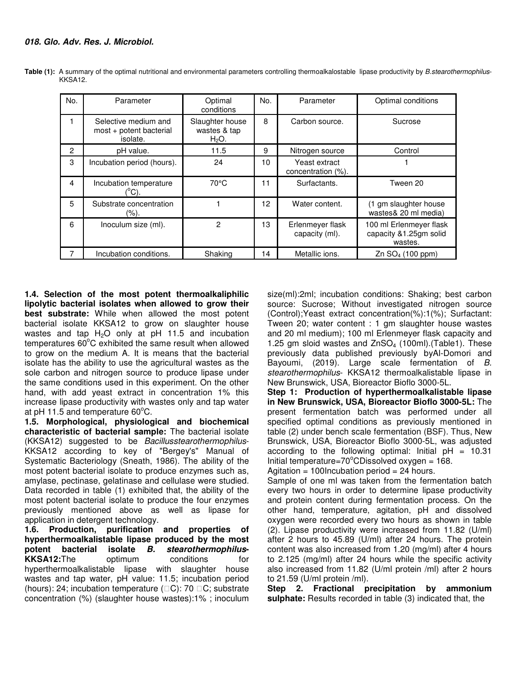| No. | Parameter                                                   | Optimal<br>conditions                      | No. | Parameter                           | Optimal conditions                                           |
|-----|-------------------------------------------------------------|--------------------------------------------|-----|-------------------------------------|--------------------------------------------------------------|
|     | Selective medium and<br>most + potent bacterial<br>isolate. | Slaughter house<br>wastes & tap<br>$H2O$ . | 8   | Carbon source.                      | Sucrose                                                      |
| 2   | pH value.                                                   | 11.5                                       | 9   | Nitrogen source                     | Control                                                      |
| 3   | Incubation period (hours).                                  | 24                                         | 10  | Yeast extract<br>concentration (%). |                                                              |
| 4   | Incubation temperature<br>°C).                              | $70^{\circ}$ C                             | 11  | Surfactants.                        | Tween 20                                                     |
| 5   | Substrate concentration<br>$(\%).$                          |                                            | 12  | Water content.                      | (1 gm slaughter house<br>wastes& 20 ml media)                |
| 6   | Inoculum size (ml).                                         | 2                                          | 13  | Erlenmeyer flask<br>capacity (ml).  | 100 ml Erlenmeyer flask<br>capacity &1.25gm solid<br>wastes. |
|     | Incubation conditions.                                      | Shaking                                    | 4   | Metallic ions.                      | Zn SO <sub>4</sub> (100 ppm)                                 |

**Table (1):** A summary of the optimal nutritional and environmental parameters controlling thermoalkalostable lipase productivity by *B.stearothermophilus*-KKSA12.

**1.4. Selection of the most potent thermoalkaliphilic lipolytic bacterial isolates when allowed to grow their best substrate:** While when allowed the most potent bacterial isolate KKSA12 to grow on slaughter house wastes and tap  $H_2O$  only at pH 11.5 and incubation temperatures  $60^{\circ}$ C exhibited the same result when allowed to grow on the medium A. It is means that the bacterial isolate has the ability to use the agricultural wastes as the sole carbon and nitrogen source to produce lipase under the same conditions used in this experiment. On the other hand, with add yeast extract in concentration 1% this increase lipase productivity with wastes only and tap water at pH 11.5 and temperature  $60^{\circ}$ C.

**1.5. Morphological, physiological and biochemical characteristic of bacterial sample:** The bacterial isolate (KKSA12) suggested to be *Bacillusstearothermophilus*-KKSA12 according to key of "Bergey's" Manual of Systematic Bacteriology (Sneath, 1986). The ability of the most potent bacterial isolate to produce enzymes such as, amylase, pectinase, gelatinase and cellulase were studied. Data recorded in table (1) exhibited that, the ability of the most potent bacterial isolate to produce the four enzymes previously mentioned above as well as lipase for application in detergent technology.

**1.6. Production, purification and properties of hyperthermoalkalistable lipase produced by the most potent bacterial isolate B. stearothermophilus-KKSA12:**The optimum conditions for hyperthermoalkalistable lipase with slaughter house wastes and tap water, pH value: 11.5; incubation period (hours): 24; incubation temperature  $($  C): 70 C; substrate concentration (%) (slaughter house wastes):1% ; inoculum size(ml):2ml; incubation conditions: Shaking; best carbon source: Sucrose; Without investigated nitrogen source (Control);Yeast extract concentration(%):1(%); Surfactant: Tween 20; water content : 1 gm slaughter house wastes and 20 ml medium); 100 ml Erlenmeyer flask capacity and 1.25 gm sloid wastes and  $ZnSO<sub>4</sub>$  (100ml). (Table1). These previously data published previously byAl-Domori and Bayoumi, (2019). Large scale fermentation of *B. stearothermophilus*- KKSA12 thermoalkalistable lipase in New Brunswick, USA, Bioreactor Bioflo 3000-5L.

**Step 1: Production of hyperthermoalkalistable lipase in New Brunswick, USA, Bioreactor Bioflo 3000-5L:** The present fermentation batch was performed under all specified optimal conditions as previously mentioned in table (2) under bench scale fermentation (BSF). Thus, New Brunswick, USA, Bioreactor Bioflo 3000-5L, was adjusted according to the following optimal: Initial  $pH = 10.31$ Initial temperature= $70^{\circ}$ CDissolved oxygen = 168.

Agitation = 100Incubation period =  $24$  hours.

Sample of one ml was taken from the fermentation batch every two hours in order to determine lipase productivity and protein content during fermentation process. On the other hand, temperature, agitation, pH and dissolved oxygen were recorded every two hours as shown in table (2). Lipase productivity were increased from 11.82 (U/ml) after 2 hours to 45.89 (U/ml) after 24 hours. The protein content was also increased from 1.20 (mg/ml) after 4 hours to 2.125 (mg/ml) after 24 hours while the specific activity also increased from 11.82 (U/ml protein /ml) after 2 hours to 21.59 (U/ml protein /ml).

**Step 2. Fractional precipitation by ammonium sulphate:** Results recorded in table (3) indicated that, the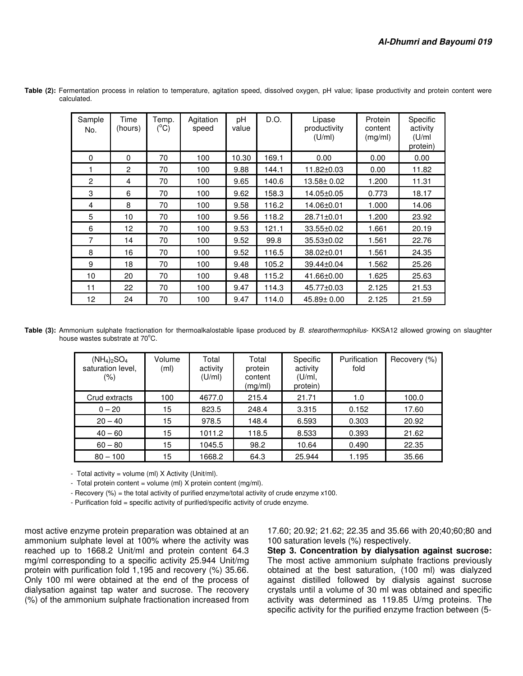| Sample<br>No.  | Time<br>(hours) | Temp.<br>$(^{\circ}C)$ | Agitation<br>speed | рH<br>value | D.O.  | Lipase<br>productivity<br>(U/ml) | Protein<br>content<br>(mg/ml) | Specific<br>activity<br>(U/m)<br>protein) |
|----------------|-----------------|------------------------|--------------------|-------------|-------|----------------------------------|-------------------------------|-------------------------------------------|
| $\Omega$       | 0               | 70                     | 100                | 10.30       | 169.1 | 0.00                             | 0.00                          | 0.00                                      |
| 1              | $\overline{2}$  | 70                     | 100                | 9.88        | 144.1 | 11.82±0.03                       | 0.00                          | 11.82                                     |
| $\overline{2}$ | 4               | 70                     | 100                | 9.65        | 140.6 | 13.58± 0.02                      | 1.200                         | 11.31                                     |
| 3              | 6               | 70                     | 100                | 9.62        | 158.3 | 14.05±0.05                       | 0.773                         | 18.17                                     |
| 4              | 8               | 70                     | 100                | 9.58        | 116.2 | 14.06±0.01                       | 1.000                         | 14.06                                     |
| 5              | 10              | 70                     | 100                | 9.56        | 118.2 | $28.71 \pm 0.01$                 | 1.200                         | 23.92                                     |
| 6              | 12              | 70                     | 100                | 9.53        | 121.1 | 33.55±0.02                       | 1.661                         | 20.19                                     |
| $\overline{7}$ | 14              | 70                     | 100                | 9.52        | 99.8  | 35.53±0.02                       | 1.561                         | 22.76                                     |
| 8              | 16              | 70                     | 100                | 9.52        | 116.5 | 38.02±0.01                       | 1.561                         | 24.35                                     |
| 9              | 18              | 70                     | 100                | 9.48        | 105.2 | 39.44±0.04                       | 1.562                         | 25.26                                     |
| 10             | 20              | 70                     | 100                | 9.48        | 115.2 | 41.66±0.00                       | 1.625                         | 25.63                                     |
| 11             | 22              | 70                     | 100                | 9.47        | 114.3 | 45.77±0.03                       | 2.125                         | 21.53                                     |
| 12             | 24              | 70                     | 100                | 9.47        | 114.0 | 45.89± 0.00                      | 2.125                         | 21.59                                     |

**Table (2):** Fermentation process in relation to temperature, agitation speed, dissolved oxygen, pH value; lipase productivity and protein content were calculated.

**Table (3):** Ammonium sulphate fractionation for thermoalkalostable lipase produced by *B. stearothermophilus*- KKSA12 allowed growing on slaughter house wastes substrate at 70°C.

| $(NH_4)_2SO_4$<br>saturation level,<br>(%) | Volume<br>(ml) | Total<br>activity<br>(U/ml) | Total<br>protein<br>content<br>(mg/ml) | Specific<br>activity<br>(U/ml)<br>protein) | Purification<br>fold | Recovery (%) |
|--------------------------------------------|----------------|-----------------------------|----------------------------------------|--------------------------------------------|----------------------|--------------|
| Crud extracts                              | 100            | 4677.0                      | 215.4                                  | 21.71                                      | 1.0                  | 100.0        |
| $0 - 20$                                   | 15             | 823.5                       | 248.4                                  | 3.315                                      | 0.152                | 17.60        |
| $20 - 40$                                  | 15             | 978.5                       | 148.4                                  | 6.593                                      | 0.303                | 20.92        |
| $40 - 60$                                  | 15             | 1011.2                      | 118.5                                  | 8.533                                      | 0.393                | 21.62        |
| $60 - 80$                                  | 15             | 1045.5                      | 98.2                                   | 10.64                                      | 0.490                | 22.35        |
| $80 - 100$                                 | 15             | 1668.2                      | 64.3                                   | 25.944                                     | 1.195                | 35.66        |

- Total activity = volume (ml)  $X$  Activity (Unit/ml).

- Total protein content = volume (ml) X protein content (mg/ml).

- Recovery (%) = the total activity of purified enzyme/total activity of crude enzyme x100.

- Purification fold = specific activity of purified/specific activity of crude enzyme.

most active enzyme protein preparation was obtained at an ammonium sulphate level at 100% where the activity was reached up to 1668.2 Unit/ml and protein content 64.3 mg/ml corresponding to a specific activity 25.944 Unit/mg protein with purification fold 1,195 and recovery (%) 35.66. Only 100 ml were obtained at the end of the process of dialysation against tap water and sucrose. The recovery (%) of the ammonium sulphate fractionation increased from

17.60; 20.92; 21.62; 22.35 and 35.66 with 20;40;60;80 and 100 saturation levels (%) respectively.

**Step 3. Concentration by dialysation against sucrose:**  The most active ammonium sulphate fractions previously obtained at the best saturation, (100 ml) was dialyzed against distilled followed by dialysis against sucrose crystals until a volume of 30 ml was obtained and specific activity was determined as 119.85 U/mg proteins. The specific activity for the purified enzyme fraction between (5-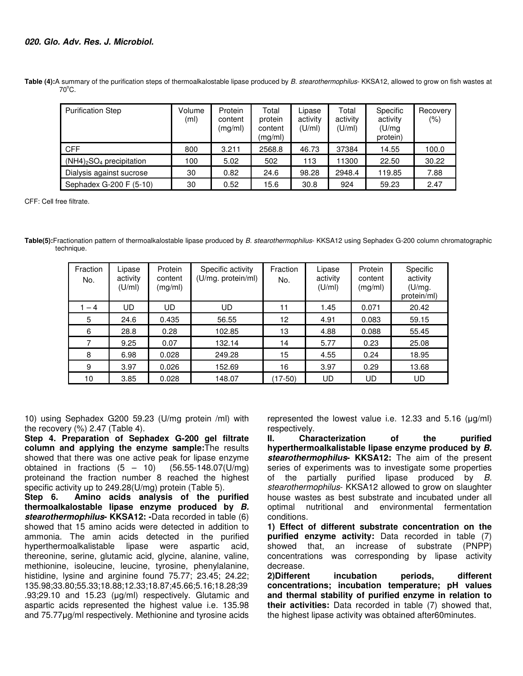# **020. Glo. Adv. Res. J. Microbiol.**

**Table (4):**A summary of the purification steps of thermoalkalostable lipase produced by *B. stearothermophilus*- KKSA12, allowed to grow on fish wastes at  $70^{\circ}$ C.

| <b>Purification Step</b>    | Volume<br>(m <sub>l</sub> ) | Protein<br>content<br>(mq/ml) | Total<br>protein<br>content<br>(mg/ml) | Lipase<br>activity<br>(U/ml) | Total<br>activity<br>(U/ml) | Specific<br>activity<br>(U/mq)<br>protein) | Recovery<br>(% ) |
|-----------------------------|-----------------------------|-------------------------------|----------------------------------------|------------------------------|-----------------------------|--------------------------------------------|------------------|
| <b>CFF</b>                  | 800                         | 3.211                         | 2568.8                                 | 46.73                        | 37384                       | 14.55                                      | 100.0            |
| $(NH4)_2SO_4$ precipitation | 100                         | 5.02                          | 502                                    | 113                          | 1300                        | 22.50                                      | 30.22            |
| Dialysis against sucrose    | 30                          | 0.82                          | 24.6                                   | 98.28                        | 2948.4                      | 119.85                                     | 7.88             |
| Sephadex G-200 F (5-10)     | 30                          | 0.52                          | 15.6                                   | 30.8                         | 924                         | 59.23                                      | 2.47             |

CFF: Cell free filtrate.

**Table(5):**Fractionation pattern of thermoalkalostable lipase produced by *B. stearothermophilus*- KKSA12 using Sephadex G-200 column chromatographic technique.

| Fraction<br>No. | Lipase<br>activity<br>(U/m) | Protein<br>content<br>(mg/ml) | Specific activity<br>(U/mg. protein/ml) | Fraction<br>No. | Lipase<br>activity<br>(U/ml) | Protein<br>content<br>(mg/ml) | Specific<br>activity<br>(U/mg.<br>protein/ml) |
|-----------------|-----------------------------|-------------------------------|-----------------------------------------|-----------------|------------------------------|-------------------------------|-----------------------------------------------|
| $-4$            | UD                          | UD                            | UD                                      | 11              | 1.45                         | 0.071                         | 20.42                                         |
| 5               | 24.6                        | 0.435                         | 56.55                                   | 12              | 4.91                         | 0.083                         | 59.15                                         |
| 6               | 28.8                        | 0.28                          | 102.85                                  | 13              | 4.88                         | 0.088                         | 55.45                                         |
| 7               | 9.25                        | 0.07                          | 132.14                                  | 14              | 5.77                         | 0.23                          | 25.08                                         |
| 8               | 6.98                        | 0.028                         | 249.28                                  | 15              | 4.55                         | 0.24                          | 18.95                                         |
| 9               | 3.97                        | 0.026                         | 152.69                                  | 16              | 3.97                         | 0.29                          | 13.68                                         |
| 10              | 3.85                        | 0.028                         | 148.07                                  | (17-50)         | UD                           | UD                            | UD                                            |

10) using Sephadex G200 59.23 (U/mg protein /ml) with the recovery  $(\%)$  2.47 (Table 4).

**Step 4. Preparation of Sephadex G-200 gel filtrate column and applying the enzyme sample:**The results showed that there was one active peak for lipase enzyme obtained in fractions  $(5 - 10)$   $(56.55 - 148.07)$   $(U/mg)$ proteinand the fraction number 8 reached the highest specific activity up to 249.28(U/mg) protein (Table 5).

**Step 6. Amino acids analysis of the purified thermoalkalostable lipase enzyme produced by B. stearothermophilus- KKSA12: -**Data recorded in table (6) showed that 15 amino acids were detected in addition to ammonia. The amin acids detected in the purified hyperthermoalkalistable lipase were aspartic acid, thereonine, serine, glutamic acid, glycine, alanine, valine, methionine, isoleucine, leucine, tyrosine, phenylalanine, histidine, lysine and arginine found 75.77; 23.45; 24.22; 135.98;33.80;55.33;18.88;12.33;18.87;45.66;5.16;18.28;39 .93;29.10 and 15.23 (µg/ml) respectively. Glutamic and aspartic acids represented the highest value i.e. 135.98 and 75.77µg/ml respectively. Methionine and tyrosine acids

represented the lowest value i.e. 12.33 and 5.16 (µg/ml) respectively.<br>II. Cha

**II. Characterization of the purified hyperthermoalkalistable lipase enzyme produced by B. stearothermophilus- KKSA12:** The aim of the present series of experiments was to investigate some properties of the partially purified lipase produced by *B. stearothermophilus*- KKSA12 allowed to grow on slaughter house wastes as best substrate and incubated under all optimal nutritional and environmental fermentation conditions.

**1) Effect of different substrate concentration on the purified enzyme activity:** Data recorded in table (7) showed that, an increase of substrate (PNPP) concentrations was corresponding by lipase activity decrease.

**2)Different incubation periods, different concentrations; incubation temperature; pH values and thermal stability of purified enzyme in relation to their activities:** Data recorded in table (7) showed that, the highest lipase activity was obtained after60minutes.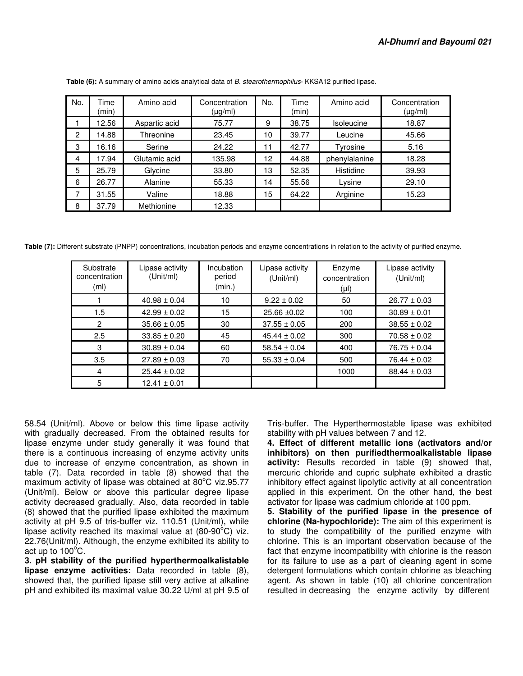| No. | Time<br>(min) | Amino acid    | Concentration<br>$(\mu g/ml)$ | No. | Time<br>(min) | Amino acid        | Concentration<br>$(\mu g/ml)$ |
|-----|---------------|---------------|-------------------------------|-----|---------------|-------------------|-------------------------------|
|     | 12.56         | Aspartic acid | 75.77                         | 9   | 38.75         | <b>Isoleucine</b> | 18.87                         |
| 2   | 14.88         | Threonine     | 23.45                         | 10  | 39.77         | Leucine           | 45.66                         |
| 3   | 16.16         | Serine        | 24.22                         | 11  | 42.77         | Tyrosine          | 5.16                          |
| 4   | 17.94         | Glutamic acid | 135.98                        | 12  | 44.88         | phenylalanine     | 18.28                         |
| 5   | 25.79         | Glycine       | 33.80                         | 13  | 52.35         | Histidine         | 39.93                         |
| 6   | 26.77         | Alanine       | 55.33                         | 14  | 55.56         | Lysine            | 29.10                         |
| 7   | 31.55         | Valine        | 18.88                         | 15  | 64.22         | Arginine          | 15.23                         |
| 8   | 37.79         | Methionine    | 12.33                         |     |               |                   |                               |

 **Table (6):** A summary of amino acids analytical data of *B. stearothermophilus*- KKSA12 purified lipase.

**Table (7):** Different substrate (PNPP) concentrations, incubation periods and enzyme concentrations in relation to the activity of purified enzyme.

| Substrate<br>concentration<br>(m <sub>l</sub> ) | Lipase activity<br>(Unit/ml) | Incubation<br>period<br>(min.) | Lipase activity<br>(Unit/ml) | Enzyme<br>concentration<br>$(\mu I)$ | Lipase activity<br>(Unit/ml) |
|-------------------------------------------------|------------------------------|--------------------------------|------------------------------|--------------------------------------|------------------------------|
|                                                 | $40.98 \pm 0.04$             | 10                             | $9.22 \pm 0.02$              | 50                                   | $26.77 \pm 0.03$             |
| 1.5                                             | $42.99 \pm 0.02$             | 15                             | $25.66 \pm 0.02$             | 100                                  | $30.89 \pm 0.01$             |
| 2                                               | $35.66 \pm 0.05$             | 30                             | $37.55 \pm 0.05$             | 200                                  | $38.55 \pm 0.02$             |
| 2.5                                             | $33.85 \pm 0.20$             | 45                             | $45.44 \pm 0.02$             | 300                                  | $70.58 \pm 0.02$             |
| 3                                               | $30.89 \pm 0.04$             | 60                             | $58.54 \pm 0.04$             | 400                                  | $76.75 \pm 0.04$             |
| 3.5                                             | $27.89 \pm 0.03$             | 70                             | $55.33 \pm 0.04$             | 500                                  | $76.44 \pm 0.02$             |
| 4                                               | $25.44 \pm 0.02$             |                                |                              | 1000                                 | $88.44 \pm 0.03$             |
| 5                                               | $12.41 \pm 0.01$             |                                |                              |                                      |                              |

58.54 (Unit/ml). Above or below this time lipase activity with gradually decreased. From the obtained results for lipase enzyme under study generally it was found that there is a continuous increasing of enzyme activity units due to increase of enzyme concentration, as shown in table (7). Data recorded in table (8) showed that the maximum activity of lipase was obtained at  $80^{\circ}$ C viz.95.77 (Unit/ml). Below or above this particular degree lipase activity decreased gradually. Also, data recorded in table (8) showed that the purified lipase exhibited the maximum activity at pH 9.5 of tris-buffer viz. 110.51 (Unit/ml), while lipase activity reached its maximal value at  $(80-90^{\circ}C)$  viz. 22.76(Unit/ml). Although, the enzyme exhibited its ability to act up to  $100^{\circ}$ C.

**3. pH stability of the purified hyperthermoalkalistable lipase enzyme activities:** Data recorded in table (8), showed that, the purified lipase still very active at alkaline pH and exhibited its maximal value 30.22 U/ml at pH 9.5 of Tris-buffer. The Hyperthermostable lipase was exhibited stability with pH values between 7 and 12.

**4. Effect of different metallic ions (activators and/or inhibitors) on then purifiedthermoalkalistable lipase activity:** Results recorded in table (9) showed that, mercuric chloride and cupric sulphate exhibited a drastic inhibitory effect against lipolytic activity at all concentration applied in this experiment. On the other hand, the best activator for lipase was cadmium chloride at 100 ppm.

**5. Stability of the purified lipase in the presence of chlorine (Na-hypochloride):** The aim of this experiment is to study the compatibility of the purified enzyme with chlorine. This is an important observation because of the fact that enzyme incompatibility with chlorine is the reason for its failure to use as a part of cleaning agent in some detergent formulations which contain chlorine as bleaching agent. As shown in table (10) all chlorine concentration resulted in decreasing the enzyme activity by different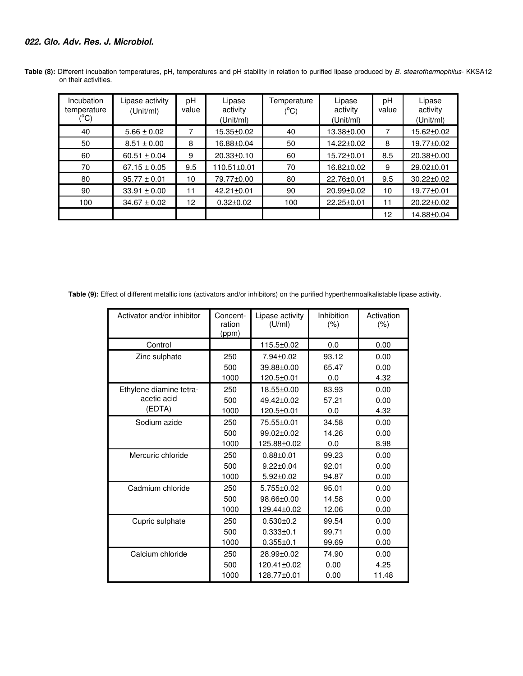# **022. Glo. Adv. Res. J. Microbiol.**

| Incubation<br>temperature<br>$C^{\circ}$ | Lipase activity<br>(Unit/ml) | pH<br>value     | Lipase<br>activity<br>(Unit/ml) | Temperature<br>$(^{\circ}C)$ | Lipase<br>activity<br>(Unit/ml) | рH<br>value | Lipase<br>activity<br>(Unit/ml) |
|------------------------------------------|------------------------------|-----------------|---------------------------------|------------------------------|---------------------------------|-------------|---------------------------------|
| 40                                       | $5.66 \pm 0.02$              | 7               | 15.35±0.02                      | 40                           | 13.38±0.00                      | 7           | 15.62±0.02                      |
| 50                                       | $8.51 \pm 0.00$              | 8               | 16.88±0.04                      | 50                           | 14.22±0.02                      | 8           | 19.77±0.02                      |
| 60                                       | $60.51 \pm 0.04$             | 9               | 20.33±0.10                      | 60                           | 15.72±0.01                      | 8.5         | 20.38±0.00                      |
| 70                                       | $67.15 \pm 0.05$             | 9.5             | 110.51±0.01                     | 70                           | 16.82±0.02                      | 9           | 29.02±0.01                      |
| 80                                       | $95.77 \pm 0.01$             | 10              | 79.77±0.00                      | 80                           | 22.76±0.01                      | 9.5         | 30.22±0.02                      |
| 90                                       | $33.91 \pm 0.00$             | 11              | $42.21 \pm 0.01$                | 90                           | $20.99 \pm 0.02$                | 10          | 19.77±0.01                      |
| 100                                      | $34.67 \pm 0.02$             | 12 <sup>2</sup> | $0.32 \pm 0.02$                 | 100                          | 22.25±0.01                      | 11          | 20.22±0.02                      |
|                                          |                              |                 |                                 |                              |                                 | 12          | 14.88±0.04                      |

**Table (8):** Different incubation temperatures, pH, temperatures and pH stability in relation to purified lipase produced by *B. stearothermophilus*- KKSA12 on their activities.

 **Table (9):** Effect of different metallic ions (activators and/or inhibitors) on the purified hyperthermoalkalistable lipase activity.

| Activator and/or inhibitor | Concent-<br>ration<br>(ppm) | Lipase activity<br>(U/ml) | Inhibition<br>$(\% )$ | Activation<br>$(\% )$ |
|----------------------------|-----------------------------|---------------------------|-----------------------|-----------------------|
| Control                    |                             | 115.5±0.02                | 0.0                   | 0.00                  |
| Zinc sulphate              | 250                         | 7.94±0.02                 | 93.12                 | 0.00                  |
|                            | 500                         | 39.88±0.00                | 65.47                 | 0.00                  |
|                            | 1000                        | 120.5±0.01                | 0.0                   | 4.32                  |
| Ethylene diamine tetra-    | 250                         | 18.55±0.00                | 83.93                 | 0.00                  |
| acetic acid                | 500                         | 49.42±0.02                | 57.21                 | 0.00                  |
| (EDTA)                     | 1000                        | 120.5±0.01                | 0.0                   | 4.32                  |
| Sodium azide               | 250                         | 75.55±0.01                | 34.58                 | 0.00                  |
|                            | 500                         | 99.02+0.02                | 14.26                 | 0.00                  |
|                            | 1000                        | 125.88±0.02               | 0.0                   | 8.98                  |
| Mercuric chloride          | 250                         | $0.88 + 0.01$             | 99.23                 | 0.00                  |
|                            | 500                         | $9.22 \pm 0.04$           | 92.01                 | 0.00                  |
|                            | 1000                        | $5.92 \pm 0.02$           | 94.87                 | 0.00                  |
| Cadmium chloride           | 250                         | $5.755 \pm 0.02$          | 95.01                 | 0.00                  |
|                            | 500                         | 98.66±0.00                | 14.58                 | 0.00                  |
|                            | 1000                        | 129.44±0.02               | 12.06                 | 0.00                  |
| Cupric sulphate            | 250                         | $0.530 \pm 0.2$           | 99.54                 | 0.00                  |
|                            | 500                         | $0.333 \pm 0.1$           | 99.71                 | 0.00                  |
|                            | 1000                        | $0.355 \pm 0.1$           | 99.69                 | 0.00                  |
| Calcium chloride           | 250                         | 28.99±0.02                | 74.90                 | 0.00                  |
|                            | 500                         | 120.41±0.02               | 0.00                  | 4.25                  |
|                            | 1000                        | 128.77±0.01               | 0.00                  | 11.48                 |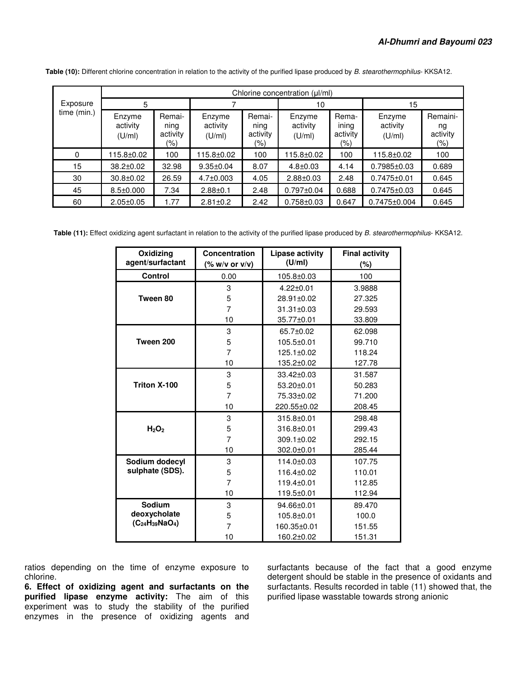|             | Chlorine concentration (ul/ml) |                                   |                              |                                   |                              |                                   |                              |                                       |  |
|-------------|--------------------------------|-----------------------------------|------------------------------|-----------------------------------|------------------------------|-----------------------------------|------------------------------|---------------------------------------|--|
| Exposure    | 5                              |                                   |                              |                                   | 10                           |                                   | 15                           |                                       |  |
| time (min.) | Enzyme<br>activity<br>(U/ml)   | Remai-<br>ning<br>activity<br>(%) | Enzyme<br>activity<br>(U/ml) | Remai-<br>ning<br>activity<br>(%) | Enzyme<br>activity<br>(U/ml) | Rema-<br>ining<br>activity<br>(%) | Enzyme<br>activity<br>(U/ml) | Remaini-<br>ng<br>activity<br>$(\% )$ |  |
| 0           | 115.8±0.02                     | 100                               | 115.8±0.02                   | 100                               | 115.8±0.02                   | 100                               | 115.8±0.02                   | 100                                   |  |
| 15          | 38.2±0.02                      | 32.98                             | $9.35 \pm 0.04$              | 8.07                              | $4.8 \pm 0.03$               | 4.14                              | $0.7985 \pm 0.03$            | 0.689                                 |  |
| 30          | $30.8 \pm 0.02$                | 26.59                             | $4.7 \pm 0.003$              | 4.05                              | $2.88 \pm 0.03$              | 2.48                              | $0.7475 \pm 0.01$            | 0.645                                 |  |
| 45          | $8.5 \pm 0.000$                | 7.34                              | $2.88 \pm 0.1$               | 2.48                              | $0.797 \pm 0.04$             | 0.688                             | $0.7475 \pm 0.03$            | 0.645                                 |  |
| 60          | $2.05 \pm 0.05$                | 1.77                              | $2.81 \pm 0.2$               | 2.42                              | $0.758 \pm 0.03$             | 0.647                             | $0.7475 \pm 0.004$           | 0.645                                 |  |

 **Table (10):** Different chlorine concentration in relation to the activity of the purified lipase produced by *B. stearothermophilus*- KKSA12.

**Table (11):** Effect oxidizing agent surfactant in relation to the activity of the purified lipase produced by *B. stearothermophilus*- KKSA12.

| Oxidizing<br>agent/surfactant | Concentration<br>$(% \mathbf{w}$ (% w/v or v/v) | Lipase activity<br>(U/ml) | <b>Final activity</b><br>(%) |
|-------------------------------|-------------------------------------------------|---------------------------|------------------------------|
| <b>Control</b>                | 0.00                                            | 105.8±0.03                | 100                          |
|                               | 3                                               | $4.22 \pm 0.01$           | 3.9888                       |
| Tween 80                      | 5                                               | 28.91±0.02                | 27.325                       |
|                               | 7                                               | $31.31 \pm 0.03$          | 29.593                       |
|                               | 10                                              | 35.77±0.01                | 33.809                       |
|                               | 3                                               | 65.7±0.02                 | 62.098                       |
| Tween 200                     | 5                                               | $105.5 \pm 0.01$          | 99.710                       |
|                               | 7                                               | 125.1±0.02                | 118.24                       |
|                               | 10                                              | 135.2±0.02                | 127.78                       |
|                               | 3                                               | 33.42±0.03                | 31.587                       |
| Triton X-100                  | 5                                               | $53.20 \pm 0.01$          | 50.283                       |
|                               | 7                                               | 75.33±0.02                | 71.200                       |
|                               | 10                                              | 220.55±0.02               | 208.45                       |
|                               | 3                                               | 315.8±0.01                | 298.48                       |
| H <sub>2</sub> O <sub>2</sub> | 5                                               | 316.8±0.01                | 299.43                       |
|                               | $\overline{7}$                                  | $309.1 \pm 0.02$          | 292.15                       |
|                               | 10                                              | 302.0±0.01                | 285.44                       |
| Sodium dodecyl                | 3                                               | $114.0 + 0.03$            | 107.75                       |
| sulphate (SDS).               | 5                                               | 116.4±0.02                | 110.01                       |
|                               | $\overline{7}$                                  | 119.4±0.01                | 112.85                       |
|                               | 10                                              | 119.5±0.01                | 112.94                       |
| Sodium                        | 3                                               | 94.66±0.01                | 89.470                       |
| deoxycholate                  | 5                                               | 105.8±0.01                | 100.0                        |
| $(C_{24}H_{39}NaO_4)$         | 7                                               | 160.35±0.01               | 151.55                       |
|                               | 10                                              | 160.2±0.02                | 151.31                       |

ratios depending on the time of enzyme exposure to chlorine.

**6. Effect of oxidizing agent and surfactants on the purified lipase enzyme activity:** The aim of this experiment was to study the stability of the purified enzymes in the presence of oxidizing agents and

surfactants because of the fact that a good enzyme detergent should be stable in the presence of oxidants and surfactants. Results recorded in table (11) showed that, the purified lipase wasstable towards strong anionic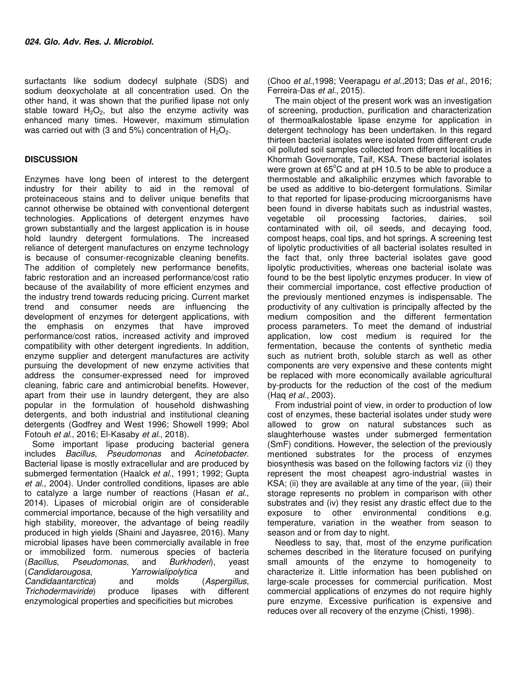surfactants like sodium dodecyl sulphate (SDS) and sodium deoxycholate at all concentration used. On the other hand, it was shown that the purified lipase not only stable toward  $H_2O_2$ , but also the enzyme activity was enhanced many times. However, maximum stimulation was carried out with (3 and 5%) concentration of  $H_2O_2$ .

# **DISCUSSION**

Enzymes have long been of interest to the detergent industry for their ability to aid in the removal of proteinaceous stains and to deliver unique benefits that cannot otherwise be obtained with conventional detergent technologies. Applications of detergent enzymes have grown substantially and the largest application is in house hold laundry detergent formulations. The increased reliance of detergent manufactures on enzyme technology is because of consumer-recognizable cleaning benefits. The addition of completely new performance benefits, fabric restoration and an increased performance/cost ratio because of the availability of more efficient enzymes and the industry trend towards reducing pricing. Current market trend and consumer needs are influencing the development of enzymes for detergent applications, with the emphasis on enzymes that have improved performance/cost ratios, increased activity and improved compatibility with other detergent ingredients. In addition, enzyme supplier and detergent manufactures are activity pursuing the development of new enzyme activities that address the consumer-expressed need for improved cleaning, fabric care and antimicrobial benefits. However, apart from their use in laundry detergent, they are also popular in the formulation of household dishwashing detergents, and both industrial and institutional cleaning detergents (Godfrey and West 1996; Showell 1999; Abol Fotouh *et al*., 2016; El-Kasaby *et al*., 2018).

Some important lipase producing bacterial genera includes *Bacillus*, *Pseudomonas* and *Acinetobacter*. Bacterial lipase is mostly extracellular and are produced by submerged fermentation (Haalck *et al*., 1991; 1992; Gupta *et al*., 2004). Under controlled conditions, lipases are able to catalyze a large number of reactions (Hasan *et al*., 2014). Lipases of microbial origin are of considerable commercial importance, because of the high versatility and high stability, moreover, the advantage of being readily produced in high yields (Shaini and Jayasree, 2016). Many microbial lipases have been commercially available in free or immobilized form. numerous species of bacteria (*Bacillus*, *Pseudomonas*, and *Burkhoderi*), yeast (*Candidarougosa*, *Yarrowialipolytica* and *Candidaantarctica*) and molds (*Aspergillus*, *Trichodermaviride*) produce lipases with different enzymological properties and specificities but microbes

(Choo *et al*.,1998; Veerapagu *et al*.,2013; Das *et al*., 2016; Ferreira-Das *et al*., 2015).

The main object of the present work was an investigation of screening, production, purification and characterization of thermoalkalostable lipase enzyme for application in detergent technology has been undertaken. In this regard thirteen bacterial isolates were isolated from different crude oil polluted soil samples collected from different localities in Khormah Governorate, Taif, KSA. These bacterial isolates were grown at  $65^{\circ}$ C and at pH 10.5 to be able to produce a thermostable and alkaliphilic enzymes which favorable to be used as additive to bio-detergent formulations. Similar to that reported for lipase-producing microorganisms have been found in diverse habitats such as industrial wastes, vegetable oil processing factories, dairies, soil contaminated with oil, oil seeds, and decaying food, compost heaps, coal tips, and hot springs. A screening test of lipolytic productivities of all bacterial isolates resulted in the fact that, only three bacterial isolates gave good lipolytic productivities, whereas one bacterial isolate was found to be the best lipolytic enzymes producer. In view of their commercial importance, cost effective production of the previously mentioned enzymes is indispensable. The productivity of any cultivation is principally affected by the medium composition and the different fermentation process parameters. To meet the demand of industrial application, low cost medium is required for the fermentation, because the contents of synthetic media such as nutrient broth, soluble starch as well as other components are very expensive and these contents might be replaced with more economically available agricultural by-products for the reduction of the cost of the medium (Haq *et al*., 2003).

From industrial point of view, in order to production of low cost of enzymes, these bacterial isolates under study were allowed to grow on natural substances such as slaughterhouse wastes under submerged fermentation (SmF) conditions. However, the selection of the previously mentioned substrates for the process of enzymes biosynthesis was based on the following factors viz (i) they represent the most cheapest agro-industrial wastes in KSA; (ii) they are available at any time of the year, (iii) their storage represents no problem in comparison with other substrates and (iv) they resist any drastic effect due to the exposure to other environmental conditions e.g. temperature, variation in the weather from season to season and or from day to night.

Needless to say, that, most of the enzyme purification schemes described in the literature focused on purifying small amounts of the enzyme to homogeneity to characterize it. Little information has been published on large-scale processes for commercial purification. Most commercial applications of enzymes do not require highly pure enzyme. Excessive purification is expensive and reduces over all recovery of the enzyme (Chisti, 1998).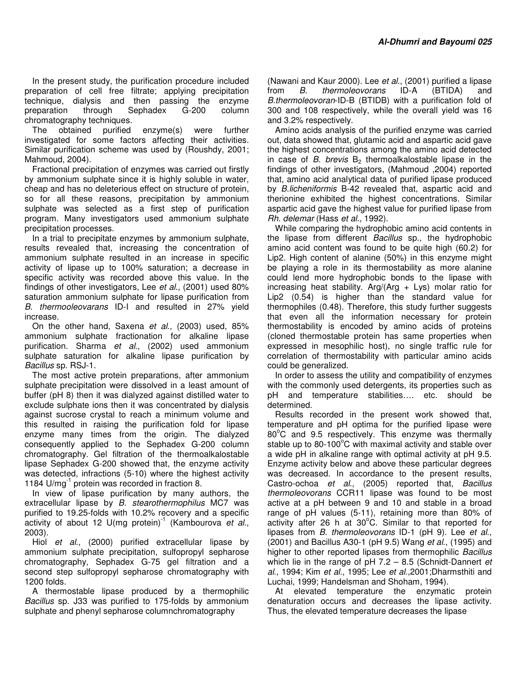In the present study, the purification procedure included preparation of cell free filtrate; applying precipitation technique, dialysis and then passing the enzyme preparation through Sephadex G-200 column chromatography techniques.

The obtained purified enzyme(s) were further investigated for some factors affecting their activities. Similar purification scheme was used by (Roushdy, 2001; Mahmoud, 2004).

Fractional precipitation of enzymes was carried out firstly by ammonium sulphate since it is highly soluble in water, cheap and has no deleterious effect on structure of protein, so for all these reasons, precipitation by ammonium sulphate was selected as a first step of purification program. Many investigators used ammonium sulphate precipitation processes.

In a trial to precipitate enzymes by ammonium sulphate, results revealed that, increasing the concentration of ammonium sulphate resulted in an increase in specific activity of lipase up to 100% saturation; a decrease in specific activity was recorded above this value. In the findings of other investigators, Lee *et al*., (2001) used 80% saturation ammonium sulphate for lipase purification from *B. thermooleovarans* ID-I and resulted in 27% yield increase.

On the other hand, Saxena *et al*., (2003) used, 85% ammonium sulphate fractionation for alkaline lipase purification. Sharma *et al*., (2002) used ammonium sulphate saturation for alkaline lipase purification by *Bacillus* sp. RSJ-1.

The most active protein preparations, after ammonium sulphate precipitation were dissolved in a least amount of buffer (pH 8) then it was dialyzed against distilled water to exclude sulphate ions then it was concentrated by dialysis against sucrose crystal to reach a minimum volume and this resulted in raising the purification fold for lipase enzyme many times from the origin. The dialyzed consequently applied to the Sephadex G-200 column chromatography. Gel filtration of the thermoalkalostable lipase Sephadex G-200 showed that, the enzyme activity was detected, infractions (5-10) where the highest activity 1184 U/mg<sup>-1</sup> protein was recorded in fraction 8.

In view of lipase purification by many authors, the extracellular lipase by *B. stearothermophilus* MC7 was purified to 19.25-folds with 10.2% recovery and a specific activity of about 12 U(mg protein)<sup>1</sup> (Kambourova *et al.*, 2003).

Hiol *et al*., (2000) purified extracellular lipase by ammonium sulphate precipitation, sulfopropyl sepharose chromatography, Sephadex G-75 gel filtration and a second step sulfopropyl sepharose chromatography with 1200 folds.

A thermostable lipase produced by a thermophilic *Bacillus* sp. J33 was purified to 175-folds by ammonium sulphate and phenyl sepharose columnchromatography

(Nawani and Kaur 2000). Lee *et al*., (2001) purified a lipase from *B. thermoleovorans* ID-A (BTIDA) and *B.thermoleovoran*-ID-B (BTIDB) with a purification fold of 300 and 108 respectively, while the overall yield was 16 and 3.2% respectively.

Amino acids analysis of the purified enzyme was carried out, data showed that, glutamic acid and aspartic acid gave the highest concentrations among the amino acid detected in case of  $B$ . *brevis*  $B$ <sub>2</sub> thermoalkalostable lipase in the findings of other investigators, (Mahmoud ,2004) reported that, amino acid analytical data of purified lipase produced by *B.licheniformis* B-42 revealed that, aspartic acid and therionine exhibited the highest concentrations. Similar aspartic acid gave the highest value for purified lipase from *Rh. delemar* (Hass *et al*., 1992).

While comparing the hydrophobic amino acid contents in the lipase from different *Bacillus* sp., the hydrophobic amino acid content was found to be quite high (60.2) for Lip2. High content of alanine (50%) in this enzyme might be playing a role in its thermostability as more alanine could lend more hydrophobic bonds to the lipase with increasing heat stability. Arg/(Arg  $+$  Lys) molar ratio for Lip2 (0.54) is higher than the standard value for thermophiles (0.48). Therefore, this study further suggests that even all the information necessary for protein thermostability is encoded by amino acids of proteins (cloned thermostable protein has same properties when expressed in mesophilic host), no single traffic rule for correlation of thermostability with particular amino acids could be generalized.

In order to assess the utility and compatibility of enzymes with the commonly used detergents, its properties such as pH and temperature stabilities…. etc. should be determined.

Results recorded in the present work showed that, temperature and pH optima for the purified lipase were  $80^{\circ}$ C and 9.5 respectively. This enzyme was thermally stable up to 80-100 $^{\circ}$ C with maximal activity and stable over a wide pH in alkaline range with optimal activity at pH 9.5. Enzyme activity below and above these particular degrees was decreased. In accordance to the present results, Castro-ochoa *et al*., (2005) reported that, *Bacillus thermoleovorans* CCR11 lipase was found to be most active at a pH between 9 and 10 and stable in a broad range of pH values (5-11), retaining more than 80% of activity after 26 h at  $30^{\circ}$ C. Similar to that reported for lipases from *B. thermoleovorans* ID-1 (pH 9). Lee *et al*., (2001) and Bacillus A30-1 (pH 9.5) Wang *et al*., (1995) and higher to other reported lipases from thermophilic *Bacillus* which lie in the range of pH 7.2 – 8.5 (Schnidt-Dannert *et al*., 1994; Kim *et al*., 1995; Lee *et al*.,2001;Dharmsthiti and Luchai, 1999; Handelsman and Shoham, 1994).

At elevated temperature the enzymatic protein denaturation occurs and decreases the lipase activity. Thus, the elevated temperature decreases the lipase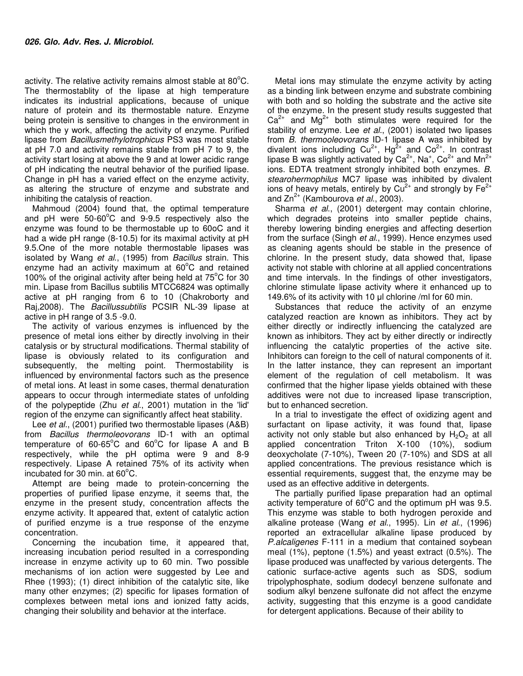activity. The relative activity remains almost stable at  $80^{\circ}$ C. The thermostablity of the lipase at high temperature indicates its industrial applications, because of unique nature of protein and its thermostable nature. Enzyme being protein is sensitive to changes in the environment in which the y work, affecting the activity of enzyme. Purified lipase from *Bacillusmethylotrophicus* PS3 was most stable at pH 7.0 and activity remains stable from pH 7 to 9, the activity start losing at above the 9 and at lower acidic range of pH indicating the neutral behavior of the purified lipase. Change in pH has a varied effect on the enzyme activity, as altering the structure of enzyme and substrate and inhibiting the catalysis of reaction.

Mahmoud (2004) found that, the optimal temperature and pH were  $50-60^{\circ}$ C and 9-9.5 respectively also the enzyme was found to be thermostable up to 60oC and it had a wide pH range (8-10.5) for its maximal activity at pH 9.5.One of the more notable thermostable lipases was isolated by Wang *et al*., (1995) from *Bacillus* strain. This enzyme had an activity maximum at  $60^{\circ}$ C and retained 100% of the original activity after being held at  $75^{\circ}$ C for 30 min. Lipase from Bacillus subtilis MTCC6824 was optimally active at pH ranging from 6 to 10 (Chakroborty and Raj,2008). The *Bacillussubtilis* PCSIR NL-39 lipase at active in pH range of 3.5 -9.0.

The activity of various enzymes is influenced by the presence of metal ions either by directly involving in their catalysis or by structural modifications. Thermal stability of lipase is obviously related to its configuration and subsequently, the melting point. Thermostability is influenced by environmental factors such as the presence of metal ions. At least in some cases, thermal denaturation appears to occur through intermediate states of unfolding of the polypeptide (Zhu *et al*., 2001) mutation in the 'lid' region of the enzyme can significantly affect heat stability.

Lee *et al*., (2001) purified two thermostable lipases (A&B) from *Bacillus thermoleovorans* ID-1 with an optimal temperature of  $60-65^{\circ}$ C and  $60^{\circ}$ C for lipase A and B respectively, while the pH optima were 9 and 8-9 respectively. Lipase A retained 75% of its activity when incubated for 30 min. at  $60^{\circ}$ C.

Attempt are being made to protein-concerning the properties of purified lipase enzyme, it seems that, the enzyme in the present study, concentration affects the enzyme activity. It appeared that, extent of catalytic action of purified enzyme is a true response of the enzyme concentration.

Concerning the incubation time, it appeared that, increasing incubation period resulted in a corresponding increase in enzyme activity up to 60 min. Two possible mechanisms of ion action were suggested by Lee and Rhee (1993); (1) direct inhibition of the catalytic site, like many other enzymes; (2) specific for lipases formation of complexes between metal ions and ionized fatty acids, changing their solubility and behavior at the interface.

Metal ions may stimulate the enzyme activity by acting as a binding link between enzyme and substrate combining with both and so holding the substrate and the active site of the enzyme. In the present study results suggested that  $Ca<sup>2+</sup>$  and  $Mg<sup>2+</sup>$  both stimulates were required for the stability of enzyme. Lee *et al*., (2001) isolated two lipases from *B. thermooleovorans* ID-1 lipase A was inhibited by divalent ions including  $Cu^{2+}$ , Hg<sup>2+</sup> and  $Co^{2+}$ . In contrast lipase B was slightly activated by Ca<sup>2+</sup>, Na<sup>+</sup>, Co<sup>2+</sup> and Mn<sup>2+</sup> ions. EDTA treatment strongly inhibited both enzymes. *B. stearohermophilus* MC7 lipase was inhibited by divalent ions of heavy metals, entirely by  $Cu^{2+}$  and strongly by  $Fe^{2+}$ and Zn<sup>2+</sup> (Kambourova *et al.*, 2003).

Sharma *et al*., (2001) detergent may contain chlorine, which degrades proteins into smaller peptide chains, thereby lowering binding energies and affecting desertion from the surface (Singh *et al*., 1999). Hence enzymes used as cleaning agents should be stable in the presence of chlorine. In the present study, data showed that, lipase activity not stable with chlorine at all applied concentrations and time intervals. In the findings of other investigators, chlorine stimulate lipase activity where it enhanced up to 149.6% of its activity with 10 µl chlorine /ml for 60 min.

Substances that reduce the activity of an enzyme catalyzed reaction are known as inhibitors. They act by either directly or indirectly influencing the catalyzed are known as inhibitors. They act by either directly or indirectly influencing the catalytic properties of the active site. Inhibitors can foreign to the cell of natural components of it. In the latter instance, they can represent an important element of the regulation of cell metabolism. It was confirmed that the higher lipase yields obtained with these additives were not due to increased lipase transcription, but to enhanced secretion.

In a trial to investigate the effect of oxidizing agent and surfactant on lipase activity, it was found that, lipase activity not only stable but also enhanced by  $H_2O_2$  at all applied concentration Triton X-100 (10%), sodium deoxycholate (7-10%), Tween 20 (7-10%) and SDS at all applied concentrations. The previous resistance which is essential requirements, suggest that, the enzyme may be used as an effective additive in detergents.

The partially purified lipase preparation had an optimal activity temperature of  $60^{\circ}$ C and the optimum pH was 9.5. This enzyme was stable to both hydrogen peroxide and alkaline protease (Wang *et al*., 1995). Lin *et al*., (1996) reported an extracellular alkaline lipase produced by *P.alcaligenes* F-111 in a medium that contained soybean meal (1%), peptone (1.5%) and yeast extract (0.5%). The lipase produced was unaffected by various detergents. The cationic surface-active agents such as SDS, sodium tripolyphosphate, sodium dodecyl benzene sulfonate and sodium alkyl benzene sulfonate did not affect the enzyme activity, suggesting that this enzyme is a good candidate for detergent applications. Because of their ability to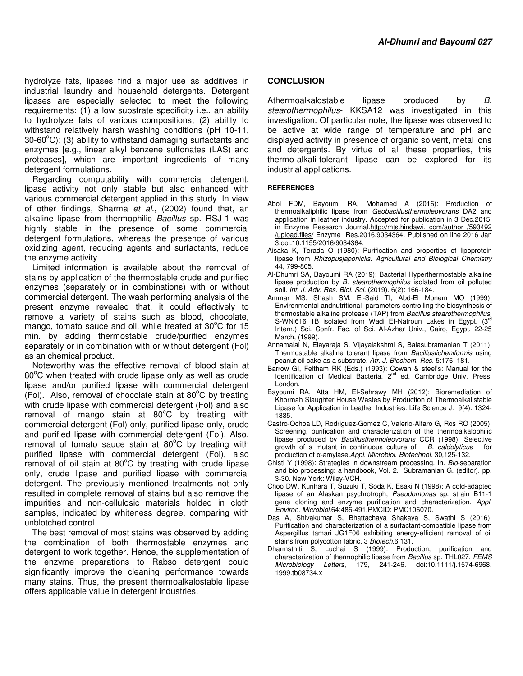hydrolyze fats, lipases find a major use as additives in industrial laundry and household detergents. Detergent lipases are especially selected to meet the following requirements: (1) a low substrate specificity i.e., an ability to hydrolyze fats of various compositions; (2) ability to withstand relatively harsh washing conditions (pH 10-11,  $30-60^{\circ}$ C); (3) ability to withstand damaging surfactants and enzymes [e.g., linear alkyl benzene sulfonates (LAS) and proteases], which are important ingredients of many detergent formulations.

Regarding computability with commercial detergent, lipase activity not only stable but also enhanced with various commercial detergent applied in this study. In view of other findings, Sharma *et al*., (2002) found that, an alkaline lipase from thermophilic *Bacillus* sp. RSJ-1 was highly stable in the presence of some commercial detergent formulations, whereas the presence of various oxidizing agent, reducing agents and surfactants, reduce the enzyme activity.

Limited information is available about the removal of stains by application of the thermostable crude and purified enzymes (separately or in combinations) with or without commercial detergent. The wash performing analysis of the present enzyme revealed that, it could effectively to remove a variety of stains such as blood, chocolate, mango, tomato sauce and oil, while treated at  $30^{\circ}$ C for 15 min. by adding thermostable crude/purified enzymes separately or in combination with or without detergent (Fol) as an chemical product.

Noteworthy was the effective removal of blood stain at  $80^{\circ}$ C when treated with crude lipase only as well as crude lipase and/or purified lipase with commercial detergent (Fol). Also, removal of chocolate stain at  $80^{\circ}$ C by treating with crude lipase with commercial detergent (Fol) and also removal of mango stain at  $80^{\circ}$ C by treating with commercial detergent (Fol) only, purified lipase only, crude and purified lipase with commercial detergent (Fol). Also, removal of tomato sauce stain at  $80^{\circ}$ C by treating with purified lipase with commercial detergent (Fol), also removal of oil stain at  $80^{\circ}$ C by treating with crude lipase only, crude lipase and purified lipase with commercial detergent. The previously mentioned treatments not only resulted in complete removal of stains but also remove the impurities and non-cellulosic materials holded in cloth samples, indicated by whiteness degree, comparing with unblotched control.

The best removal of most stains was observed by adding the combination of both thermostable enzymes and detergent to work together. Hence, the supplementation of the enzyme preparations to Rabso detergent could significantly improve the cleaning performance towards many stains. Thus, the present thermoalkalostable lipase offers applicable value in detergent industries.

## **CONCLUSION**

Athermoalkalostable lipase produced by *B. stearothermophilus*- KKSA12 was investigated in this investigation. Of particular note, the lipase was observed to be active at wide range of temperature and pH and displayed activity in presence of organic solvent, metal ions and detergents. By virtue of all these properties, this thermo-alkali-tolerant lipase can be explored for its industrial applications.

#### **REFERENCES**

- Abol FDM, Bayoumi RA, Mohamed A (2016): Production of thermoalkaliphilic lipase from *Geobacillusthermoleovorans* DA2 and application in leather industry. Accepted for publication in 3 Dec.2015. in Enzyme Research Journal.http://mts.hindawi. com/author /593492 /upload.files/ Enzyme Res.2016.9034364. Published on line 2016 Jan 3.doi:10.1155/2016/9034364.
- Aisaka K, Terada O (1980): Purification and properties of lipoprotein lipase from *Rhizopusjaponiclls*. *Agricultural and Biological Chemistry* 44, 799-805.
- Al-Dhumri SA, Bayoumi RA (2019): Bacterial Hyperthermostable alkaline lipase production by *B. stearothermophilus* isolated from oil polluted soil. *Int. J. Adv. Res. Biol. Sci.* (2019). 6(2): 166-184.
- Ammar MS, Shash SM, El-Said TI, Abd-El Monem MO (1999): Environmental andnutritional parameters controlling the biosynthesis of thermostable alkaline protease (TAP) from *Bacillus stearothermophilus,*  S-WNI616 1B isolated from Wadi EI-Natroun Lakes in Egypt. (3rd Intern.) Sci. Confr. Fac. of Sci. Al-Azhar Univ., Cairo, Egypt. 22-25 March, (1999).
- Annamalai N, Elayaraja S, Vijayalakshmi S, Balasubramanian T (2011): Thermostable alkaline tolerant lipase from *Bacilluslicheniformis* using peanut oil cake as a substrate. *Afr. J. Biochem. Res*. 5:176–181.
- Barrow GI, Feltham RK (Eds.) (1993): Cowan & steel's: Manual for the Identification of Medical Bacteria. 2<sup>nd</sup> ed. Cambridge Univ. Press. London.
- Bayoumi RA, Atta HM, El-Sehrawy MH (2012): Bioremediation of Khormah Slaughter House Wastes by Production of Thermoalkalistable Lipase for Application in Leather Industries. Life Science J. 9(4): 1324- 1335.
- Castro-Ochoa LD, Rodriguez-Gomez C, Valerio-Alfaro G, Ros RO (2005): Screening, purification and characterization of the thermoalkalophilic lipase produced by *Bacillusthermoleovorans* CCR (1998): Selective growth of a mutant in continuous culture of *B. caldolyticus* for production of α-amylase.*Appl*. *Microbiol*. *Biotechnol*. 30,125-132.
- Chisti Y (1998): Strategies in downstream processing. In*: Bio*-separation and bio processing: a handbook, Vol. 2. Subramanian G. (editor). pp. 3-30. New York: Wiley-VCH.
- Choo DW, Kurihara T, Suzuki T, Soda K, Esaki N (1998): A cold-adapted lipase of an Alaskan psychrotroph, *Pseudomonas* sp. strain B11-1 gene cloning and enzyme purification and characterization. *Appl*. *Environ*. *Microbiol*.64:486-491.PMCID: PMC106070.
- Das A, Shivakumar S, Bhattachaya Shakaya S, Swathi S (2016): Purification and characterization of a surfactant-compatible lipase from Aspergillus tamari JG1F06 exhibiting energy-efficient removal of oil stains from polycotton fabric. 3 *Biotech*.6.131.
- Dharmsthiti S, Luchai S (1999): Production, purification and characterization of thermophilic lipase from *Bacillus* sp. THL027. *FEMS Microbiology Letters*, 179, 241-246. doi:10.1111/j.1574-6968. 1999.tb08734.x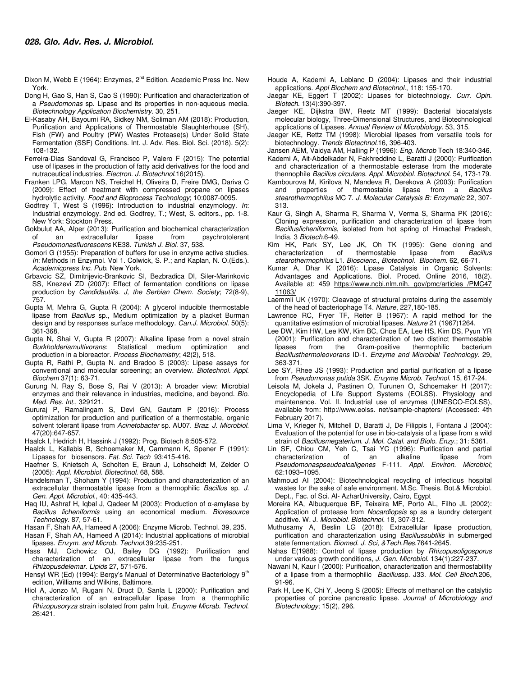- Dixon M, Webb E (1964): Enzymes, 2<sup>nd</sup> Edition. Academic Press Inc. New York.
- Dong H, Gao S, Han S, Cao S (1990): Purification and characterization of a *Pseudomonas* sp. Lipase and its properties in non-aqueous media. *Biotechnology Application Biochemistry*. 30, 251.
- El-Kasaby AH, Bayoumi RA, Sidkey NM, Soliman AM (2018): Production, Purification and Applications of Thermostable Slaughterhouse (SH), Fish (FW) and Poultry (PW) Wastes Protease(s) Under Solid State Fermentation (SSF) Conditions. Int. J. Adv. Res. Biol. Sci. (2018). 5(2): 108-132.
- Ferreira-Dias Sandoval G, Francisco P, Valero F (2015): The potential use of lipases in the production of fatty acid derivatives for the food and nutraceutical industries. *Electron. J. Biotechnol*.16(2015).
- Franken LPG, Marcon NS, Treichel H, Oliveira D, Freire DMG, Dariva C (2009): Effect of treatment with compressed propane on lipases hydrolytic activity. *Food and Bioprocess Technology*; 10:0087-0095.
- Godfrey T, West S (1996): Introduction to industrial enzymology. *In*: Industrial enzymology. 2nd ed. Godfrey, T.; West, S. editors., pp. 1-8. New York: Stockton Press.
- Gokbulut AA, Alper (2013): Purification and biochemical characterization<br>of an extracellular lipase from psychrotolerant of an extracellular lipase from psychrotolerant *Pseudomonasfluorescens* KE38. *Turkish J. Biol*. 37, 538.
- Gomori G (1955): Preparation of buffers for use in enzyme active studies. *In*: Methods in Enzymol. Vol 1. Colwick, S. P.; and Kaplan, N. O.(Eds.). *Academicpress Inc*. *Pub*. New York.
- Grbavcic SZ, Dimitrijevic-Brankovic SI, Bezbradica DI, Siler-Marinkovic SS, Knezevi ZD (2007): Effect of fermentation conditions on lipase production by *Candidautilis*. *J, the Serbian Chem. Society*; 72(8-9), 757.
- Gupta M, Mehra G, Gupta R (2004): A glycerol inducible thermostable lipase from *Bacillus* sp., Medium optimization by a placket Burman design and by responses surface methodology. *Can.J. Microbiol*. 50(5): 361-368.
- Gupta N, Shai V, Gupta R (2007): Alkaline lipase from a novel strain *Burkholderiamultivorans*: Statistical medium optimization and production in a bioreactor. *Process Biochemistry*; 42(2), 518.
- Gupta R, Rathi P, Gupta N. and Bradoo S (2003): Lipase assays for conventional and molecular screening; an overview. *Biotechnol. Appl. Biochem* 37(1): 63-71.
- Gurung N, Ray S, Bose S, Rai V (2013): A broader view: Microbial enzymes and their relevance in industries, medicine, and beyond. *Bio. Med. Res. Int*., 329121.
- Gururaj P, Ramalingam S, Devi GN, Gautam P (2016): Process optimization for production and purification of a thermostable, organic solvent tolerant lipase from *Acinetobacter* sp. AU07. *Braz. J. Microbiol*. 47(20):647-657.
- Haalck I, Hedrich H, Hassink J (1992): Prog. Biotech 8:505-572.
- Haalck L, Kallabis B, Schoemaker M, Cammann K, Spener F (1991): Lipases for biosensors. *Fat. Sci. Tech* 93:415-416.
- Haefner S, Knietsch A, Scholten E, Braun J, Lohscheidt M, Zelder O (2005): *Appl*. *Microbiol*. *Biotechnol*. 68, 588.
- Handelsman T, Shoham Y (1994): Production and characterization of an extracellular thermostable lipase from a thermophilic *Bacillus* sp. *J. Gen*. *Appl*. *Microbiol*., 40: 435-443.
- Haq IU, Ashraf H, Iqbal J, Qadeer M (2003): Production of α-amylase by *Bacillus licheniformis* using an economical medium. *Bioresource Technology*. 87, 57-61.
- Hasan F, Shah AA, Hameed A (2006): Enzyme Microb. Technol. 39, 235.
- Hasan F, Shah AA, Hameed A (2014): Industrial applications of microbial lipases. *Enzym. and Microb. Technol*.39:235-251.
- Hass MJ, Cichowicz OJ, Bailey DG (1992): Purification and characterization of an extracellular lipase from the fungus *Rhizopusdelemar*. *Lipids* 27, 571-576.
- Hensyl WR (Ed) (1994): Bergy's Manual of Determinative Bacteriology 9<sup>th</sup> edition, Williams and Wilkins, Baltimore.
- Hiol A, Jonzo M, Rugani N, Druct D, Sanla L (2000): Purification and characterization of an extracellular lipase from a thermophilic *Rhizopusoryza* strain isolated from palm fruit*. Enzyme Micrab. Technol*. 26:421.
- Houde A, Kademi A, Leblanc D (2004): Lipases and their industrial applications. *Appl Biochem and Biotechnol*., 118: 155-170.
- Jaegar KE, Eggert T (2002): Lipases for biotechnology. *Curr. Opin. Biotech*. 13(4):390-397.
- Jaeger KE, Dijkstra BW, Reetz MT (1999): Bacterial biocatalysts molecular biology, Three-Dimensional Structures, and Biotechnological applications of Lipases. *Annual Review of Microbiology*. 53, 315.
- Jaeger KE, Rettz TM (1998): Microbial lipases from versatile tools for biotechnology. *Trends Biotechnol*.16, 396-403.
- Jansen AEM, Vaidya AM, Halling P (1996): *Eng. Microb* Tech 18:340-346. Kademi A, Ait-Abdelkader N, Fakhreddine L, Baratti J (2000): Purification
- and characterization of a thermostable esterase from the moderate thennophile *Bacillus circulans. Appl*. *Microbiol*. *Biotechnol*. 54, 173-179.
- Kambourova M, Kirilova N, Mandeva R, Derekova A (2003): Purification and properties of thermostable lipase from a *Bacillus stearothermophilus* MC 7. *J. Molecular Catalysis B: Enzymatic* 22, 307- 313.
- Kaur G, Singh A, Sharma R, Sharma V, Verma S, Sharma PK (2016): Cloning expression, purification and characterization of lipase from *Bacilluslicheniformis*, isolated from hot spring of Himachal Pradesh, India. 3 *Biotech*.6-49.
- Kim HK, Park SY, Lee JK, Oh TK (1995): Gene cloning and<br>characterization of thermostable lipase from Bacillus characterization of thermostable lipase from *Bacillus stearothermophilus* L1. *Bioscienc., Biotechnol. Biochem.* 62, 66-71.
- Kumar A, Dhar K (2016): Lipase Catalysis in Organic Solvents: Advantages and Applications. Biol. Proced. Online 2016, 18(2). Available at: 459 https://www.ncbi.nlm.nih. gov/pmc/articles /PMC47 11063/
- Laemmli UK (1970): Cleavage of structural proteins during the assembly of the head of bacteriophage T4. *Nature*, 227,180-185.
- Lawrence RC, Fryer TF, Reiter B (1967): A rapid method for the quantitative estimation of microbial lipases. *Nature* 21 (1967)1264.
- Lee DW, Kim HW, Lee KW, Kim BC, Choe EA, Lee HS, Kim DS, Pyun YR (2001): Purification and characterization of two distinct thermostable lipases from the Gram-positive thermophilic bacterium *Bacillusthermoleovorans* ID-1. *Enzyme and Microbial Technology.* 29, 363-371.
- Lee SY, Rhee JS (1993): Production and partial purification of a lipase from *Pseudomonas putida* 3SK*. Enzyme Microb. Technol*. 15, 617-24.
- Leisola M, Jokela J, Pastinen O, Turunen O, Schoemaker H (2017): Encyclopedia of Life Support Systems (EOLSS). Physiology and maintenance. Vol. II. Industrial use of enzymes (UNESCO-EOLSS), available from: http://www.eolss. net/sample-chapters/ (Accessed: 4th February 2017).
- Lima V, Krieger N, Mitchell D, Baratti J, De Filippis I, Fontana J (2004): Evaluation of the potential for use in bio-catalysis of a lipase from a wild strain of *Bacillusmegaterium*. *J. Mol. Catal. and Biolo. Enzy*.; 31: 5361.
- Lin SF, Chiou CM, Yeh C, Tsai YC (1996): Purification and partial characterization of an alkaline lipase from *Pseudomonaspseudoalcaligenes* F-111. *Appl. Environ. Microbiol*; 62:1093–1095.
- Mahmoud AI (2004): Biotechnological recycling of infectious hospital wastes for the sake of safe environment. M.Sc. Thesis. Bot.& Microbiol. Dept., Fac. of Sci. Al- AzharUniversity, Cairo, Egypt
- Moreira KA, Albuquerque BF, Teixeira MF, Porto AL, Filho JL (2002): Application of protease from *Nocardiopsis* sp as a laundry detergent additive. W. J. *Microbiol*. *Biotechnol*. 18, 307-312.
- Muthusamy A, Beslin LG (2018): Extracellular lipase production, purification and characterization using *Bacillussubtilis* in submerged state fermentation. *Biomed. J. Sci, &Tech.Res*.7641-2645.
- Nahas E(1988): Control of lipase production by *Rhizopusoligosporus* under various growth conditions, *J. Gen. Microbiol*. 134(1):227-237.
- Nawani N, Kaur I (2000): Purification, characterization and thermostability of a lipase from a thermophilic *Bacillus*sp. J33. *Mol. Cell Bioch*.206, 91-96.
- Park H, Lee K, Chi Y, Jeong S (2005): Effects of methanol on the catalytic properties of porcine pancreatic lipase. *Journal of Microbiology and Biotechnology*; 15(2), 296.